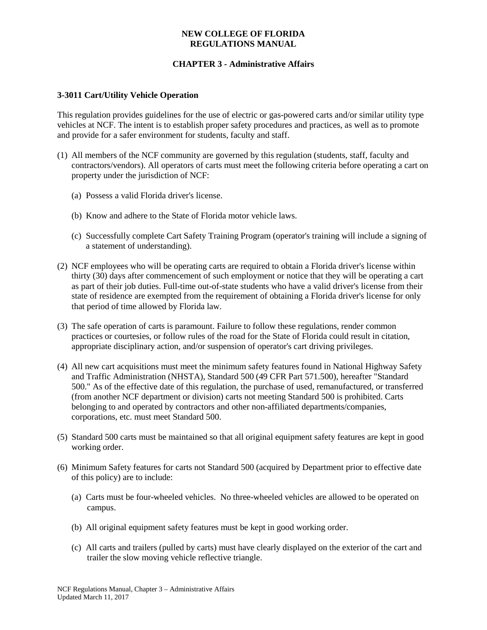### **NEW COLLEGE OF FLORIDA REGULATIONS MANUAL**

# **CHAPTER 3 - Administrative Affairs**

#### **3-3011 Cart/Utility Vehicle Operation**

This regulation provides guidelines for the use of electric or gas-powered carts and/or similar utility type vehicles at NCF. The intent is to establish proper safety procedures and practices, as well as to promote and provide for a safer environment for students, faculty and staff.

- (1) All members of the NCF community are governed by this regulation (students, staff, faculty and contractors/vendors). All operators of carts must meet the following criteria before operating a cart on property under the jurisdiction of NCF:
	- (a) Possess a valid Florida driver's license.
	- (b) Know and adhere to the State of Florida motor vehicle laws.
	- (c) Successfully complete Cart Safety Training Program (operator's training will include a signing of a statement of understanding).
- (2) NCF employees who will be operating carts are required to obtain a Florida driver's license within thirty (30) days after commencement of such employment or notice that they will be operating a cart as part of their job duties. Full-time out-of-state students who have a valid driver's license from their state of residence are exempted from the requirement of obtaining a Florida driver's license for only that period of time allowed by Florida law.
- (3) The safe operation of carts is paramount. Failure to follow these regulations, render common practices or courtesies, or follow rules of the road for the State of Florida could result in citation, appropriate disciplinary action, and/or suspension of operator's cart driving privileges.
- (4) All new cart acquisitions must meet the minimum safety features found in National Highway Safety and Traffic Administration (NHSTA), Standard 500 (49 CFR Part 571.500), hereafter "Standard 500." As of the effective date of this regulation, the purchase of used, remanufactured, or transferred (from another NCF department or division) carts not meeting Standard 500 is prohibited. Carts belonging to and operated by contractors and other non-affiliated departments/companies, corporations, etc. must meet Standard 500.
- (5) Standard 500 carts must be maintained so that all original equipment safety features are kept in good working order.
- (6) Minimum Safety features for carts not Standard 500 (acquired by Department prior to effective date of this policy) are to include:
	- (a) Carts must be four-wheeled vehicles. No three-wheeled vehicles are allowed to be operated on campus.
	- (b) All original equipment safety features must be kept in good working order.
	- (c) All carts and trailers (pulled by carts) must have clearly displayed on the exterior of the cart and trailer the slow moving vehicle reflective triangle.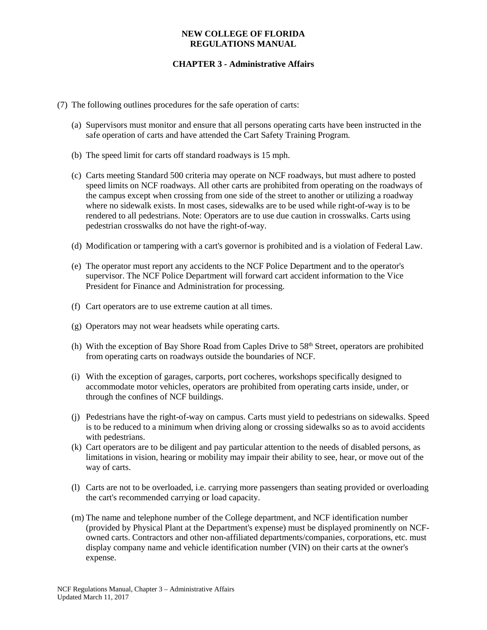#### **NEW COLLEGE OF FLORIDA REGULATIONS MANUAL**

# **CHAPTER 3 - Administrative Affairs**

- (7) The following outlines procedures for the safe operation of carts:
	- (a) Supervisors must monitor and ensure that all persons operating carts have been instructed in the safe operation of carts and have attended the Cart Safety Training Program.
	- (b) The speed limit for carts off standard roadways is 15 mph.
	- (c) Carts meeting Standard 500 criteria may operate on NCF roadways, but must adhere to posted speed limits on NCF roadways. All other carts are prohibited from operating on the roadways of the campus except when crossing from one side of the street to another or utilizing a roadway where no sidewalk exists. In most cases, sidewalks are to be used while right-of-way is to be rendered to all pedestrians. Note: Operators are to use due caution in crosswalks. Carts using pedestrian crosswalks do not have the right-of-way.
	- (d) Modification or tampering with a cart's governor is prohibited and is a violation of Federal Law.
	- (e) The operator must report any accidents to the NCF Police Department and to the operator's supervisor. The NCF Police Department will forward cart accident information to the Vice President for Finance and Administration for processing.
	- (f) Cart operators are to use extreme caution at all times.
	- (g) Operators may not wear headsets while operating carts.
	- (h) With the exception of Bay Shore Road from Caples Drive to 58<sup>th</sup> Street, operators are prohibited from operating carts on roadways outside the boundaries of NCF.
	- (i) With the exception of garages, carports, port cocheres, workshops specifically designed to accommodate motor vehicles, operators are prohibited from operating carts inside, under, or through the confines of NCF buildings.
	- (j) Pedestrians have the right-of-way on campus. Carts must yield to pedestrians on sidewalks. Speed is to be reduced to a minimum when driving along or crossing sidewalks so as to avoid accidents with pedestrians.
	- (k) Cart operators are to be diligent and pay particular attention to the needs of disabled persons, as limitations in vision, hearing or mobility may impair their ability to see, hear, or move out of the way of carts.
	- (l) Carts are not to be overloaded, i.e. carrying more passengers than seating provided or overloading the cart's recommended carrying or load capacity.
	- (m) The name and telephone number of the College department, and NCF identification number (provided by Physical Plant at the Department's expense) must be displayed prominently on NCFowned carts. Contractors and other non-affiliated departments/companies, corporations, etc. must display company name and vehicle identification number (VIN) on their carts at the owner's expense.